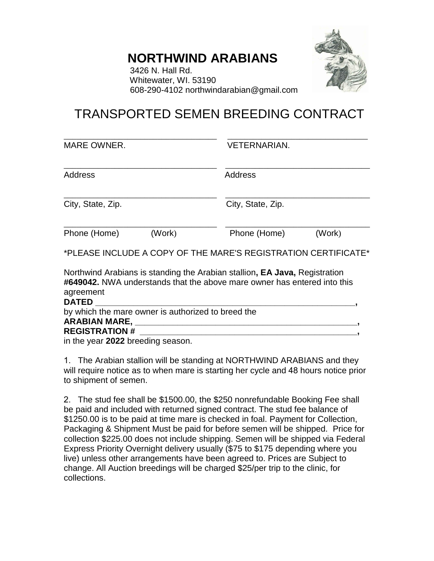## **NORTHWIND ARABIANS**



 3426 N. Hall Rd. Whitewater, WI. 53190 608-290-4102 northwindarabian@gmail.com

## TRANSPORTED SEMEN BREEDING CONTRACT

MARE OWNER. VETERNARIAN.

\_\_\_\_\_\_\_\_\_\_\_\_\_\_\_\_\_\_\_\_\_\_\_\_\_\_\_\_\_\_\_\_\_\_\_\_ \_\_\_\_\_\_\_\_\_\_\_\_\_\_\_\_\_\_\_\_\_\_\_\_\_\_\_\_\_\_\_\_\_

| <b>Address</b>    |        | <b>Address</b>    |        |
|-------------------|--------|-------------------|--------|
| City, State, Zip. |        | City, State, Zip. |        |
| Phone (Home)      | (Work) | Phone (Home)      | (Work) |

\*PLEASE INCLUDE A COPY OF THE MARE'S REGISTRATION CERTIFICATE\*

Northwind Arabians is standing the Arabian stallion**, EA Java,** Registration **#649042.** NWA understands that the above mare owner has entered into this agreement

| <b>DATED</b>                                       |  |
|----------------------------------------------------|--|
| by which the mare owner is authorized to breed the |  |
| <b>ARABIAN MARE, _</b>                             |  |
| <b>REGISTRATION #</b>                              |  |
| in the year 2022 broading season                   |  |

in the year **2022** breeding season.

1. The Arabian stallion will be standing at NORTHWIND ARABIANS and they will require notice as to when mare is starting her cycle and 48 hours notice prior to shipment of semen.

2. The stud fee shall be \$1500.00, the \$250 nonrefundable Booking Fee shall be paid and included with returned signed contract. The stud fee balance of \$1250.00 is to be paid at time mare is checked in foal. Payment for Collection, Packaging & Shipment Must be paid for before semen will be shipped. Price for collection \$225.00 does not include shipping. Semen will be shipped via Federal Express Priority Overnight delivery usually (\$75 to \$175 depending where you live) unless other arrangements have been agreed to. Prices are Subject to change. All Auction breedings will be charged \$25/per trip to the clinic, for collections.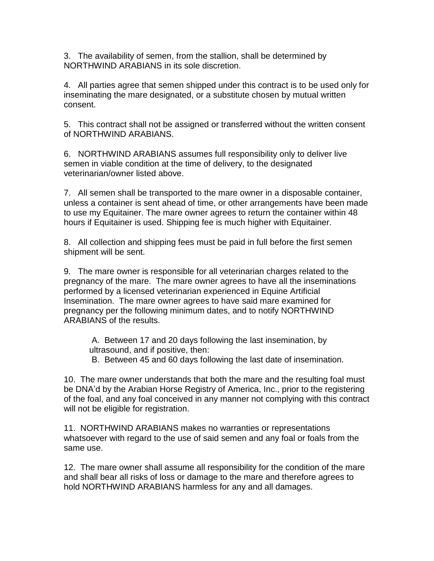3. The availability of semen, from the stallion, shall be determined by NORTHWIND ARABIANS in its sole discretion.

4. All parties agree that semen shipped under this contract is to be used only for inseminating the mare designated, or a substitute chosen by mutual written consent.

5. This contract shall not be assigned or transferred without the written consent of NORTHWIND ARABIANS.

6. NORTHWIND ARABIANS assumes full responsibility only to deliver live semen in viable condition at the time of delivery, to the designated veterinarian/owner listed above.

7. All semen shall be transported to the mare owner in a disposable container, unless a container is sent ahead of time, or other arrangements have been made to use my Equitainer. The mare owner agrees to return the container within 48 hours if Equitainer is used. Shipping fee is much higher with Equitainer.

8. All collection and shipping fees must be paid in full before the first semen shipment will be sent.

9. The mare owner is responsible for all veterinarian charges related to the pregnancy of the mare. The mare owner agrees to have all the inseminations performed by a licensed veterinarian experienced in Equine Artificial Insemination. The mare owner agrees to have said mare examined for pregnancy per the following minimum dates, and to notify NORTHWIND ARABIANS of the results.

A. Between 17 and 20 days following the last insemination, by ultrasound, and if positive, then:

B. Between 45 and 60 days following the last date of insemination.

10. The mare owner understands that both the mare and the resulting foal must be DNA'd by the Arabian Horse Registry of America, Inc., prior to the registering of the foal, and any foal conceived in any manner not complying with this contract will not be eligible for registration.

11. NORTHWIND ARABIANS makes no warranties or representations whatsoever with regard to the use of said semen and any foal or foals from the same use.

12. The mare owner shall assume all responsibility for the condition of the mare and shall bear all risks of loss or damage to the mare and therefore agrees to hold NORTHWIND ARABIANS harmless for any and all damages.